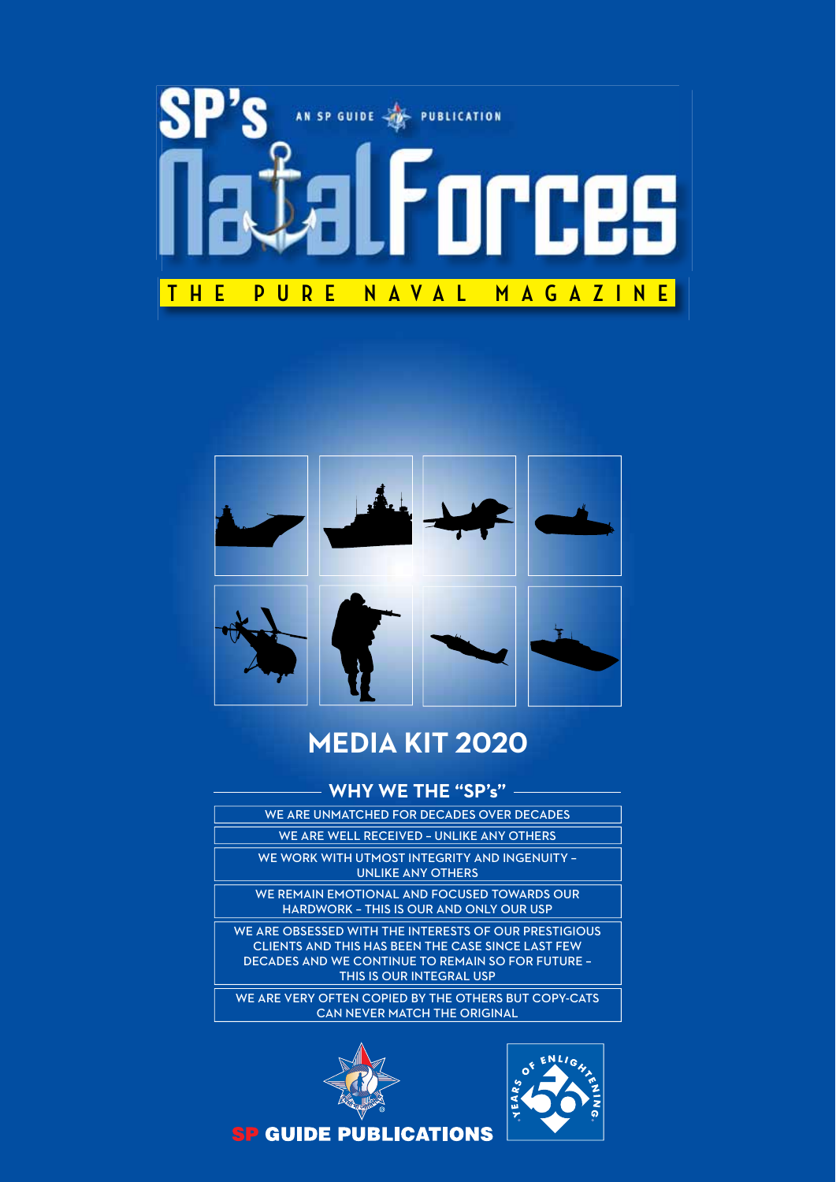



### **MEDIA KIT 2020**

### **WHY WE THE "SP's"**

- WE ARE UNMATCHED FOR DECADES OVER DECADES
	- WE ARE WELL RECEIVED UNLIKE ANY OTHERS
	- WE WORK WITH UTMOST INTEGRITY AND INGENUITY UNLIKE ANY OTHERS

WE REMAIN EMOTIONAL AND FOCUSED TOWARDS OUR HARDWORK – THIS IS OUR AND ONLY OUR USP

WE ARE OBSESSED WITH THE INTERESTS OF OUR PRESTIGIOUS CLIENTS AND THIS HAS BEEN THE CASE SINCE LAST FEW DECADES AND WE CONTINUE TO REMAIN SO FOR FUTURE – THIS IS OUR INTEGRAL USP

WE ARE VERY OFTEN COPIED BY THE OTHERS BUT COPY-CATS CAN NEVER MATCH THE ORIGINAL





**SP GUIDE PUBLICATIONS**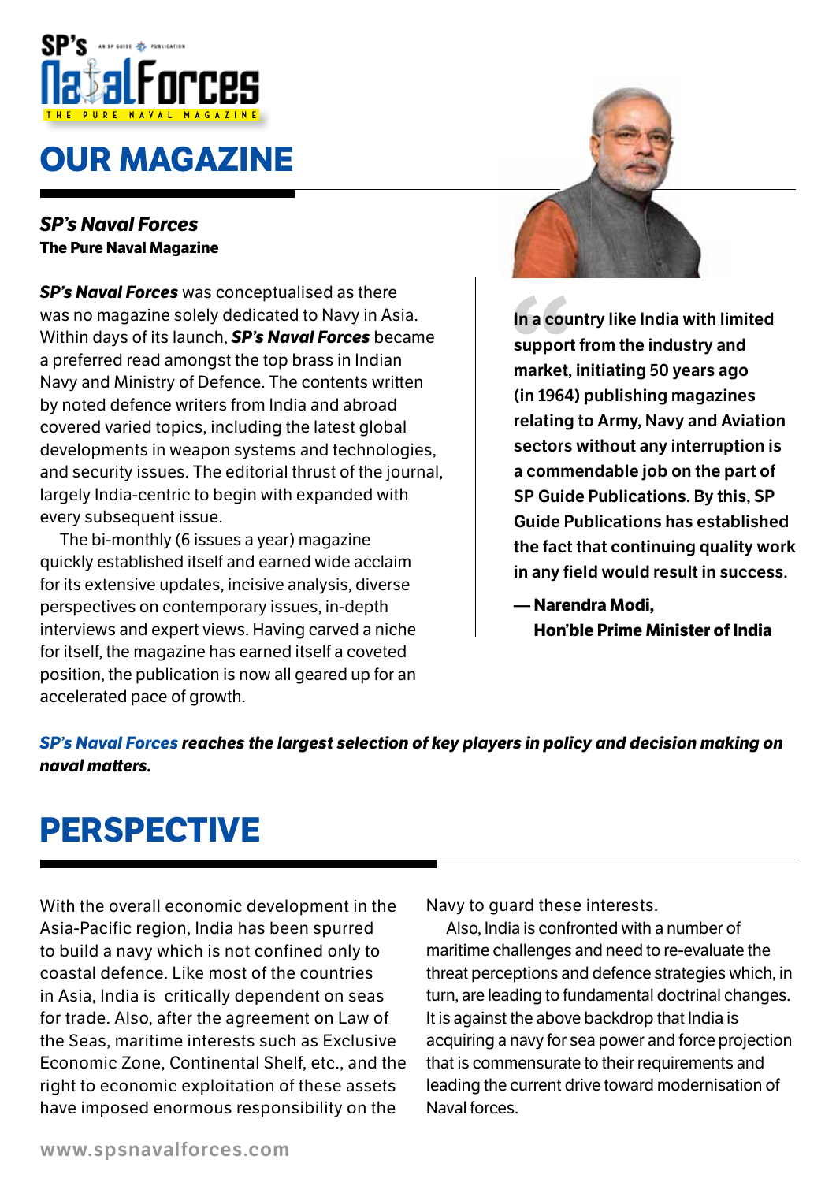

# **oUr maGaZine**

### *SP's Naval Forces*  **The Pure Naval Magazine**

*SP's Naval Forces* was conceptualised as there was no magazine solely dedicated to Navy in Asia. Within days of its launch, *SP's Naval Forces* became a preferred read amongst the top brass in Indian Navy and Ministry of Defence. The contents written by noted defence writers from India and abroad covered varied topics, including the latest global developments in weapon systems and technologies, and security issues. The editorial thrust of the journal, largely India-centric to begin with expanded with every subsequent issue.

The bi-monthly (6 issues a year) magazine quickly established itself and earned wide acclaim for its extensive updates, incisive analysis, diverse perspectives on contemporary issues, in-depth interviews and expert views. Having carved a niche for itself, the magazine has earned itself a coveted position, the publication is now all geared up for an accelerated pace of growth.



**In a country like India with limited support from the industry and market, initiating 50 years ago (in 1964) publishing magazines relating to Army, Navy and Aviation sectors without any interruption is a commendable job on the part of SP Guide Publications. By this, SP Guide Publications has established the fact that continuing quality work in any field would result in success.**

**— narendra modi, Hon'ble prime minister of india**

### *SP's Naval Forces reaches the largest selection of key players in policy and decision making on naval matters*

## **perspective**

With the overall economic development in the Asia-Pacific region, India has been spurred to build a navy which is not confined only to coastal defence. Like most of the countries in Asia, India is critically dependent on seas for trade. Also, after the agreement on Law of the Seas, maritime interests such as Exclusive Economic Zone, Continental Shelf, etc., and the right to economic exploitation of these assets have imposed enormous responsibility on the

Navy to guard these interests.

Also, India is confronted with a number of maritime challenges and need to re-evaluate the threat perceptions and defence strategies which, in turn, are leading to fundamental doctrinal changes. It is against the above backdrop that India is acquiring a navy for sea power and force projection that is commensurate to their requirements and leading the current drive toward modernisation of Naval forces.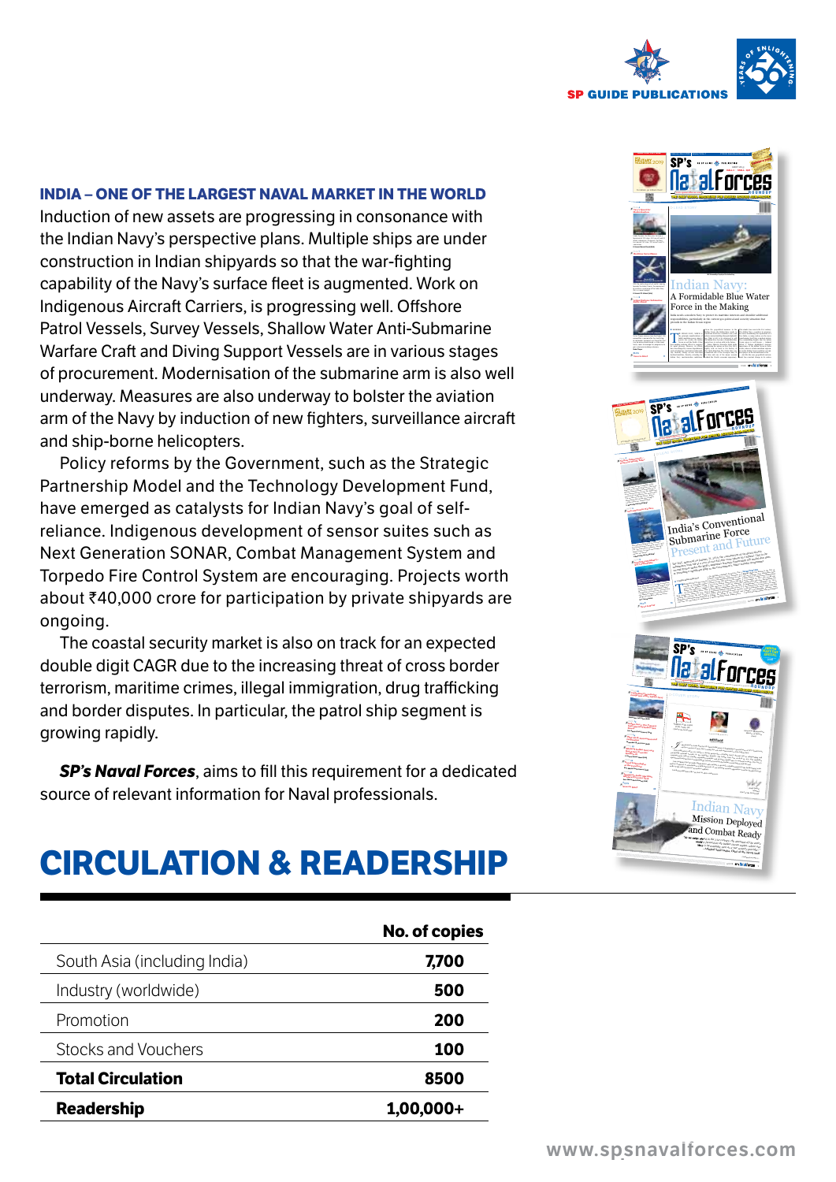

#### **INDIA – ONE OF THE LARGEST NAVAL MARKET IN THE WORLD**

Induction of new assets are progressing in consonance with the Indian Navy's perspective plans. Multiple ships are under construction in Indian shipyards so that the war-fighting capability of the Navy's surface fleet is augmented. Work on Indigenous Aircraft Carriers, is progressing well. Offshore Patrol Vessels, Survey Vessels, Shallow Water Anti-Submarine Warfare Craft and Diving Support Vessels are in various stages of procurement. Modernisation of the submarine arm is also well underway. Measures are also underway to bolster the aviation arm of the Navy by induction of new fighters, surveillance aircraft and ship-borne helicopters.

Policy reforms by the Government, such as the Strategic Partnership Model and the Technology Development Fund, have emerged as catalysts for Indian Navy's goal of selfreliance. Indigenous development of sensor suites such as Next Generation SONAR, Combat Management System and Torpedo Fire Control System are encouraging. Projects worth about  $\bar{\tau}$ 40,000 crore for participation by private shipyards are ongoing.

The coastal security market is also on track for an expected double digit CAGR due to the increasing threat of cross border terrorism, maritime crimes, illegal immigration, drug trafficking and border disputes. In particular, the patrol ship segment is growing rapidly.

**SP's Naval Forces**, aims to fill this requirement for a dedicated source of relevant information for Naval professionals.

## **circULation & readersHip**

|                              | <b>No. of copies</b> |
|------------------------------|----------------------|
| South Asia (including India) | 7,700                |
| Industry (worldwide)         | 500                  |
| Promotion                    | 200                  |
| Stocks and Vouchers          | 100                  |
| <b>Total Circulation</b>     | 8500                 |
| <b>Readership</b>            | $1,00,000+$          |

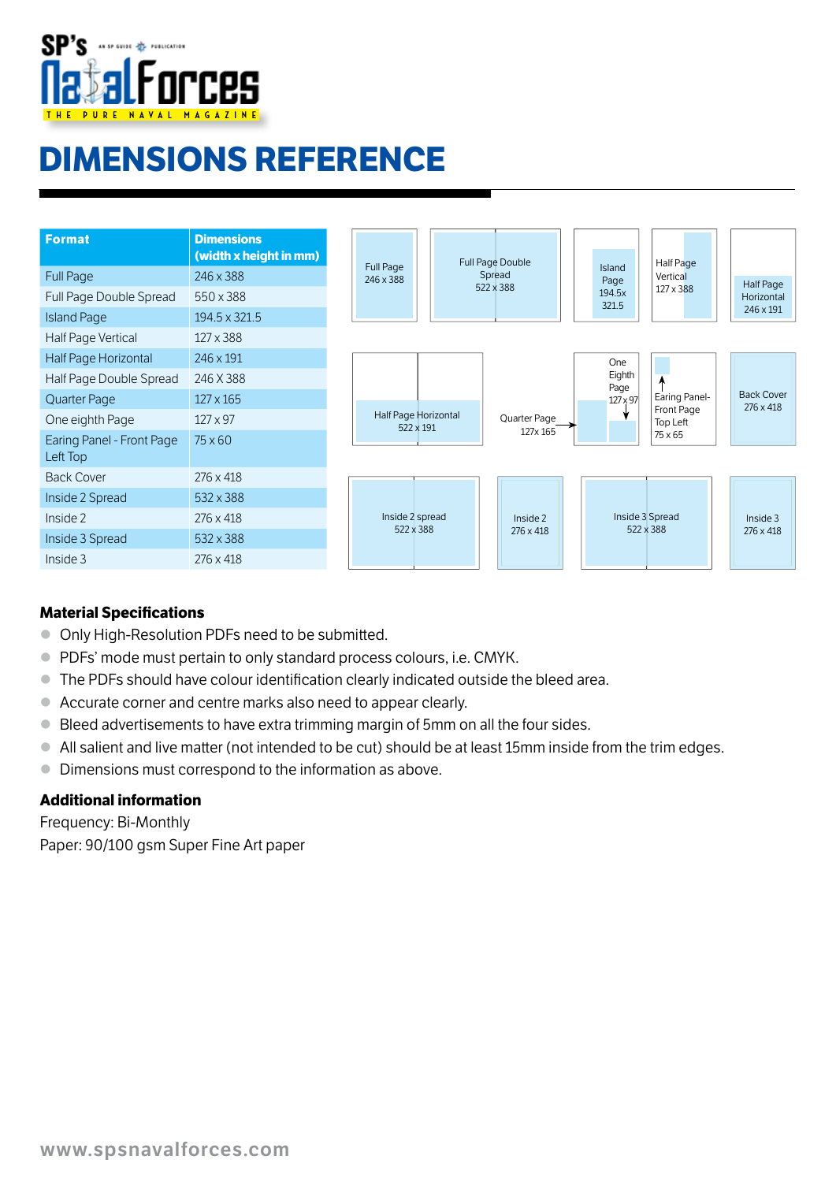

# **dimensions reference**

| <b>Format</b>                         | <b>Dimensions</b><br>(width x height in mm) | Full Page                         |                 | Full Page Double | Island           | Half Page              |                   |
|---------------------------------------|---------------------------------------------|-----------------------------------|-----------------|------------------|------------------|------------------------|-------------------|
| <b>Full Page</b>                      | 246 x 388                                   | 246 x 388                         |                 | Spread           | Page             | Vertical               |                   |
| Full Page Double Spread               | 550 x 388                                   |                                   |                 | 522 x 388        | 194.5x<br>321.5  | 127 x 388              |                   |
| <b>Island Page</b>                    | 194.5 x 321.5                               |                                   |                 |                  |                  |                        |                   |
| Half Page Vertical                    | 127 x 388                                   |                                   |                 |                  |                  |                        |                   |
| Half Page Horizontal                  | 246 x 191                                   |                                   |                 |                  | One              |                        |                   |
| Half Page Double Spread               | 246 X 388                                   |                                   |                 |                  | Eighth           |                        |                   |
| Quarter Page                          | $127 \times 165$                            | Half Page Horizontal<br>522 x 191 |                 | Quarter Page     | Page<br>127 x 97 | Earing Panel-          | <b>Back Cover</b> |
| One eighth Page                       | $127 \times 97$                             |                                   |                 |                  |                  | Front Page<br>Top Left |                   |
| Earing Panel - Front Page<br>Left Top | $75\times 60$                               |                                   |                 | 127x 165         |                  | 75 x 65                |                   |
| <b>Back Cover</b>                     | $276 \times 418$                            |                                   |                 |                  |                  |                        |                   |
| Inside 2 Spread                       | 532 x 388                                   |                                   |                 |                  |                  |                        |                   |
| Inside 2                              | $276 \times 418$                            |                                   | Inside 2 spread | Inside 2         |                  | Inside 3 Spread        |                   |
| Inside 3 Spread                       | 532 x 388                                   |                                   | 522 x 388       | 276 x 418        |                  | 522 x 388              |                   |
| Inside 3                              | $276 \times 418$                            |                                   |                 |                  |                  |                        |                   |

#### **Material Specifications**

- Only High-Resolution PDFs need to be submitt ed.
- PDFs' mode must pertain to only standard process colours, i.e. CMYK.
- $\bullet$  The PDFs should have colour identification clearly indicated outside the bleed area.
- Accurate corner and centre marks also need to appear clearly.
- Bleed advertisements to have extra trimming margin of 5mm on all the four sides.
- All salient and live matter (not intended to be cut) should be at least 15mm inside from the trim edges.
- Dimensions must correspond to the information as above.

#### **additional information**

Frequency: Bi-Monthly Paper: 90/100 gsm Super Fine Art paper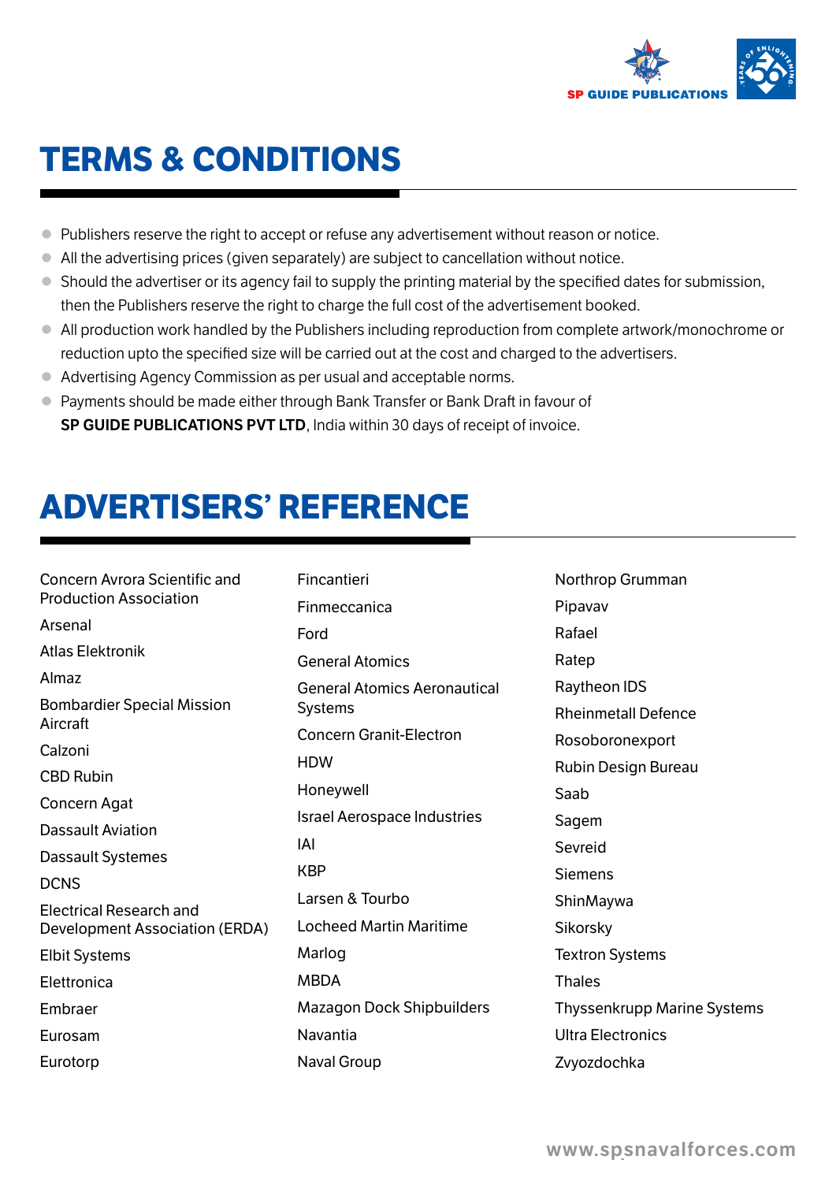

# **terms & conditions**

- Publishers reserve the right to accept or refuse any advertisement without reason or notice.
- All the advertising prices (given separately) are subject to cancellation without notice.
- Should the advertiser or its agency fail to supply the printing material by the specified dates for submission, then the Publishers reserve the right to charge the full cost of the advertisement booked.
- All production work handled by the Publishers including reproduction from complete artwork/monochrome or reduction upto the specified size will be carried out at the cost and charged to the advertisers.
- Advertising Agency Commission as per usual and acceptable norms.
- Payments should be made either through Bank Transfer or Bank Draft in favour of **SP GUIDE PUBLICATIONS PVT LTD**, India within 30 days of receipt of invoice.

# **advertisers' reference**

Concern Avrora Scientific and Production Association Arsenal Atlas Elektronik Almaz Bombardier Special Mission Aircraft Calzoni CBD Rubin Concern Agat Dassault Aviation Dassault Systemes DCNS Electrical Research and Development Association (ERDA) Elbit Systems Elettronica Embraer Eurosam Eurotorp

Fincantieri Finmeccanica Ford General Atomics General Atomics Aeronautical **Systems** Concern Granit-Electron **HDW** Honeywell Israel Aerospace Industries IAI **KRP** Larsen & Tourbo Locheed Martin Maritime Marlog MBDA Mazagon Dock Shipbuilders Navantia Naval Group

Northrop Grumman Pipavav Rafael Ratep Raytheon IDS Rheinmetall Defence Rosoboronexport Rubin Design Bureau Saab Sagem Sevreid Siemens ShinMaywa Sikorsky Textron Systems **Thales** Thyssenkrupp Marine Systems Ultra Electronics Zvyozdochka